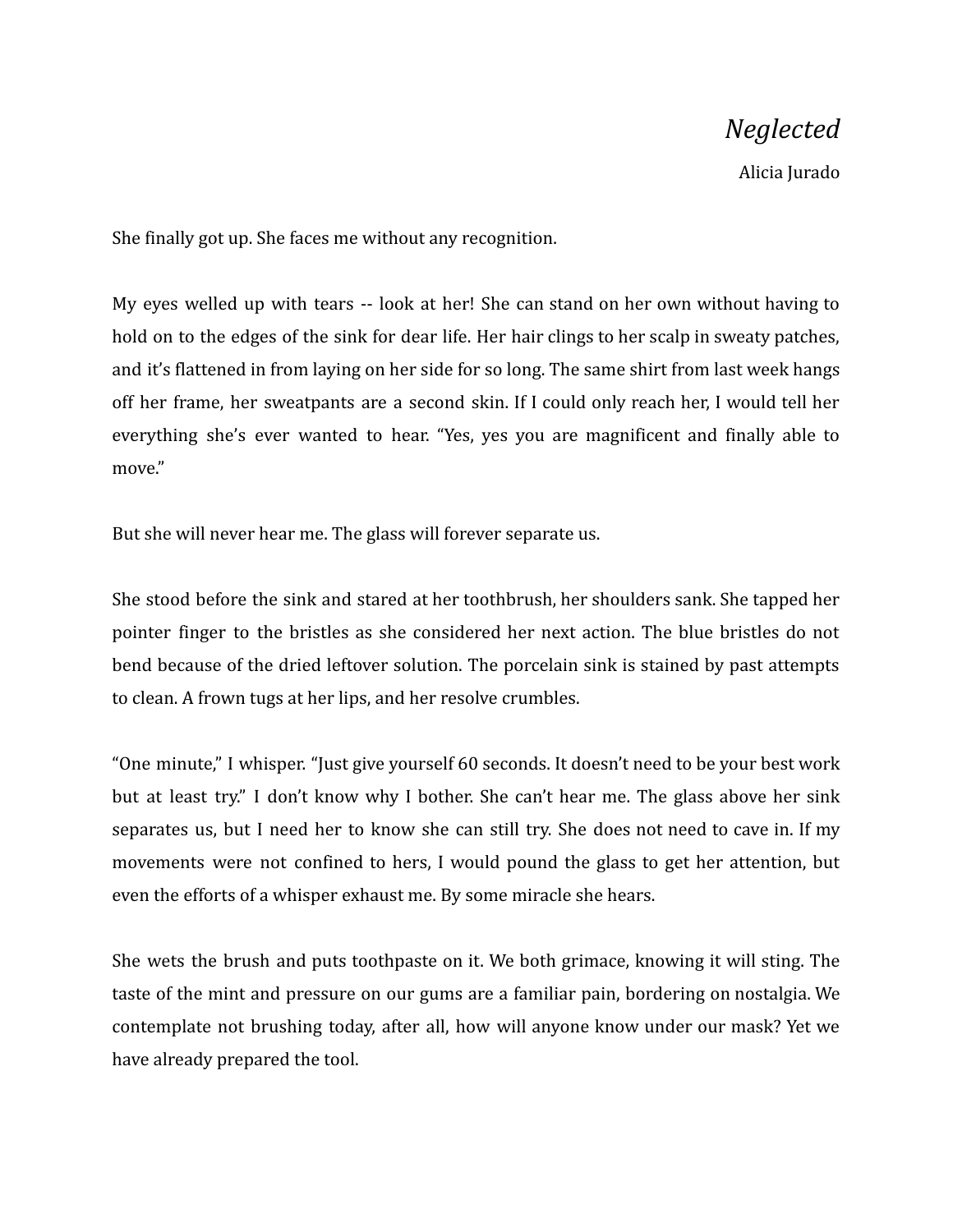## *Neglected*

Alicia Jurado

She finally got up. She faces me without any recognition.

My eyes welled up with tears -- look at her! She can stand on her own without having to hold on to the edges of the sink for dear life. Her hair clings to her scalp in sweaty patches, and it's flattened in from laying on her side for so long. The same shirt from last week hangs off her frame, her sweatpants are a second skin. If I could only reach her, I would tell her everything she's ever wanted to hear. "Yes, yes you are magnificent and finally able to move."

But she will never hear me. The glass will forever separate us.

She stood before the sink and stared at her toothbrush, her shoulders sank. She tapped her pointer finger to the bristles as she considered her next action. The blue bristles do not bend because of the dried leftover solution. The porcelain sink is stained by past attempts to clean. A frown tugs at her lips, and her resolve crumbles.

"One minute," I whisper. "Just give yourself 60 seconds. It doesn't need to be your best work but at least try." I don't know why I bother. She can't hear me. The glass above her sink separates us, but I need her to know she can still try. She does not need to cave in. If my movements were not confined to hers, I would pound the glass to get her attention, but even the efforts of a whisper exhaust me. By some miracle she hears.

She wets the brush and puts toothpaste on it. We both grimace, knowing it will sting. The taste of the mint and pressure on our gums are a familiar pain, bordering on nostalgia. We contemplate not brushing today, after all, how will anyone know under our mask? Yet we have already prepared the tool.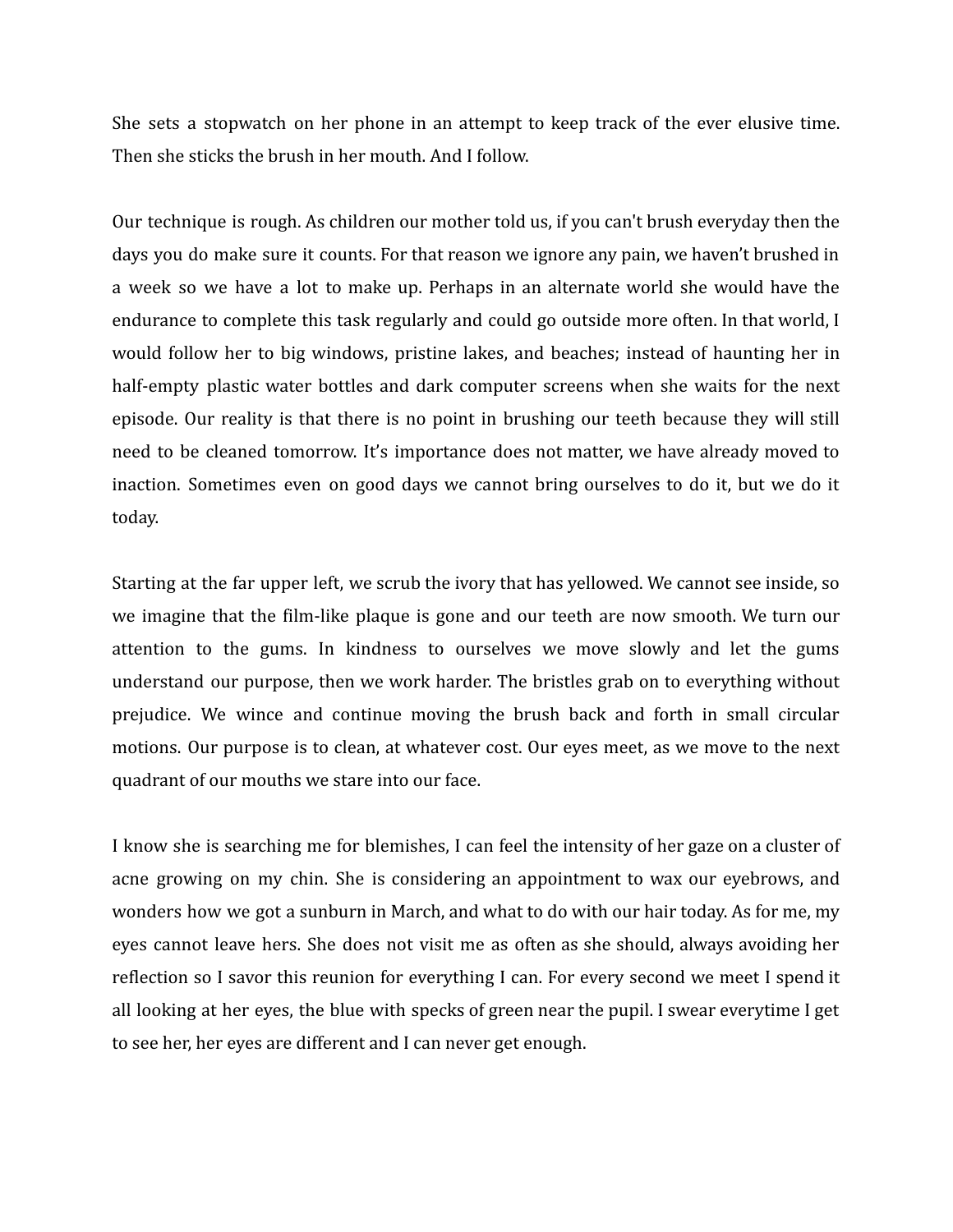She sets a stopwatch on her phone in an attempt to keep track of the ever elusive time. Then she sticks the brush in her mouth. And I follow.

Our technique is rough. As children our mother told us, if you can't brush everyday then the days you do make sure it counts. For that reason we ignore any pain, we haven't brushed in a week so we have a lot to make up. Perhaps in an alternate world she would have the endurance to complete this task regularly and could go outside more often. In that world, I would follow her to big windows, pristine lakes, and beaches; instead of haunting her in half-empty plastic water bottles and dark computer screens when she waits for the next episode. Our reality is that there is no point in brushing our teeth because they will still need to be cleaned tomorrow. It's importance does not matter, we have already moved to inaction. Sometimes even on good days we cannot bring ourselves to do it, but we do it today.

Starting at the far upper left, we scrub the ivory that has yellowed. We cannot see inside, so we imagine that the film-like plaque is gone and our teeth are now smooth. We turn our attention to the gums. In kindness to ourselves we move slowly and let the gums understand our purpose, then we work harder. The bristles grab on to everything without prejudice. We wince and continue moving the brush back and forth in small circular motions. Our purpose is to clean, at whatever cost. Our eyes meet, as we move to the next quadrant of our mouths we stare into our face.

I know she is searching me for blemishes, I can feel the intensity of her gaze on a cluster of acne growing on my chin. She is considering an appointment to wax our eyebrows, and wonders how we got a sunburn in March, and what to do with our hair today. As for me, my eyes cannot leave hers. She does not visit me as often as she should, always avoiding her reflection so I savor this reunion for everything I can. For every second we meet I spend it all looking at her eyes, the blue with specks of green near the pupil. I swear everytime I get to see her, her eyes are different and I can never get enough.